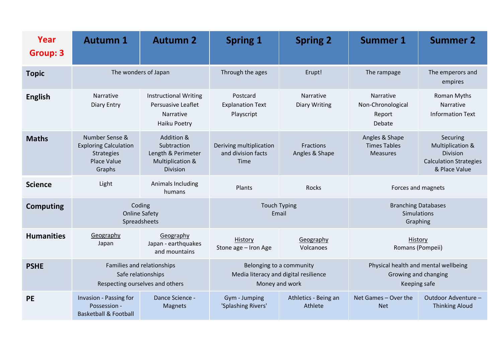| Year<br><b>Group: 3</b> | <b>Autumn 1</b>                                                                                     | <b>Autumn 2</b>                                                                        | <b>Spring 1</b>                                                                     | <b>Spring 2</b>                   | <b>Summer 1</b>                                                              | <b>Summer 2</b>                                                                                       |
|-------------------------|-----------------------------------------------------------------------------------------------------|----------------------------------------------------------------------------------------|-------------------------------------------------------------------------------------|-----------------------------------|------------------------------------------------------------------------------|-------------------------------------------------------------------------------------------------------|
| <b>Topic</b>            | The wonders of Japan                                                                                |                                                                                        | Through the ages                                                                    | Erupt!                            | The rampage                                                                  | The emperors and<br>empires                                                                           |
| <b>English</b>          | Narrative<br><b>Diary Entry</b>                                                                     | <b>Instructional Writing</b><br>Persuasive Leaflet<br><b>Narrative</b><br>Haiku Poetry | Postcard<br><b>Explanation Text</b><br>Playscript                                   | Narrative<br><b>Diary Writing</b> | Narrative<br>Non-Chronological<br>Report<br>Debate                           | Roman Myths<br><b>Narrative</b><br><b>Information Text</b>                                            |
| <b>Maths</b>            | Number Sense &<br><b>Exploring Calculation</b><br><b>Strategies</b><br><b>Place Value</b><br>Graphs | Addition &<br>Subtraction<br>Length & Perimeter<br>Multiplication &<br>Division        | Deriving multiplication<br>and division facts<br><b>Time</b>                        | Fractions<br>Angles & Shape       | Angles & Shape<br><b>Times Tables</b><br><b>Measures</b>                     | Securing<br><b>Multiplication &amp;</b><br>Division<br><b>Calculation Strategies</b><br>& Place Value |
| <b>Science</b>          | Light                                                                                               | Animals Including<br>humans                                                            | Plants                                                                              | <b>Rocks</b>                      | Forces and magnets                                                           |                                                                                                       |
| <b>Computing</b>        | Coding<br><b>Online Safety</b><br>Spreadsheets                                                      |                                                                                        | <b>Touch Typing</b><br>Email                                                        |                                   | <b>Branching Databases</b><br><b>Simulations</b><br>Graphing                 |                                                                                                       |
| <b>Humanities</b>       | Geography<br>Japan                                                                                  | Geography<br>Japan - earthquakes<br>and mountains                                      | History<br>Stone age - Iron Age                                                     | Geography<br>Volcanoes            | History<br>Romans (Pompeii)                                                  |                                                                                                       |
| <b>PSHE</b>             | Families and relationships<br>Safe relationships<br>Respecting ourselves and others                 |                                                                                        | Belonging to a community<br>Media literacy and digital resilience<br>Money and work |                                   | Physical health and mental wellbeing<br>Growing and changing<br>Keeping safe |                                                                                                       |
| <b>PE</b>               | Invasion - Passing for<br>Possession -<br><b>Basketball &amp; Football</b>                          | Dance Science -<br><b>Magnets</b>                                                      | Gym - Jumping<br>'Splashing Rivers'                                                 | Athletics - Being an<br>Athlete   | Net Games - Over the<br><b>Net</b>                                           | Outdoor Adventure -<br><b>Thinking Aloud</b>                                                          |